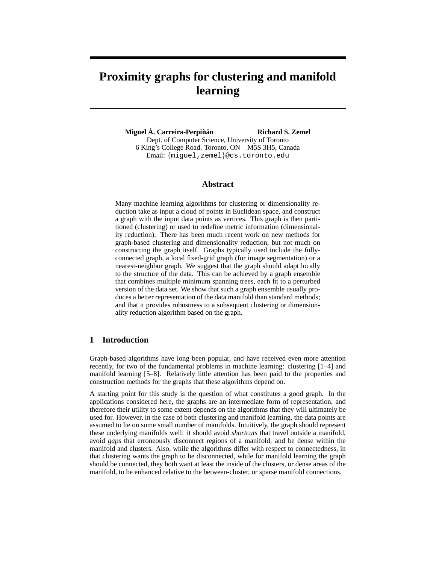# **Proximity graphs for clustering and manifold learning**

**Miguel Á. Carreira-Perpiñán Richard S. Zemel** Dept. of Computer Science, University of Toronto 6 King's College Road. Toronto, ON M5S 3H5, Canada Email: {miguel,zemel}@cs.toronto.edu

## **Abstract**

Many machine learning algorithms for clustering or dimensionality reduction take as input a cloud of points in Euclidean space, and construct a graph with the input data points as vertices. This graph is then partitioned (clustering) or used to redefine metric information (dimensionality reduction). There has been much recent work on new methods for graph-based clustering and dimensionality reduction, but not much on constructing the graph itself. Graphs typically used include the fullyconnected graph, a local fixed-grid graph (for image segmentation) or a nearest-neighbor graph. We suggest that the graph should adapt locally to the structure of the data. This can be achieved by a graph ensemble that combines multiple minimum spanning trees, each fit to a perturbed version of the data set. We show that such a graph ensemble usually produces a better representation of the data manifold than standard methods; and that it provides robustness to a subsequent clustering or dimensionality reduction algorithm based on the graph.

## **1 Introduction**

Graph-based algorithms have long been popular, and have received even more attention recently, for two of the fundamental problems in machine learning: clustering [1–4] and manifold learning [5–8]. Relatively little attention has been paid to the properties and construction methods for the graphs that these algorithms depend on.

A starting point for this study is the question of what constitutes a good graph. In the applications considered here, the graphs are an intermediate form of representation, and therefore their utility to some extent depends on the algorithms that they will ultimately be used for. However, in the case of both clustering and manifold learning, the data points are assumed to lie on some small number of manifolds. Intuitively, the graph should represent these underlying manifolds well: it should avoid *shortcuts* that travel outside a manifold, avoid *gaps* that erroneously disconnect regions of a manifold, and be dense within the manifold and clusters. Also, while the algorithms differ with respect to connectedness, in that clustering wants the graph to be disconnected, while for manifold learning the graph should be connected, they both want at least the inside of the clusters, or dense areas of the manifold, to be enhanced relative to the between-cluster, or sparse manifold connections.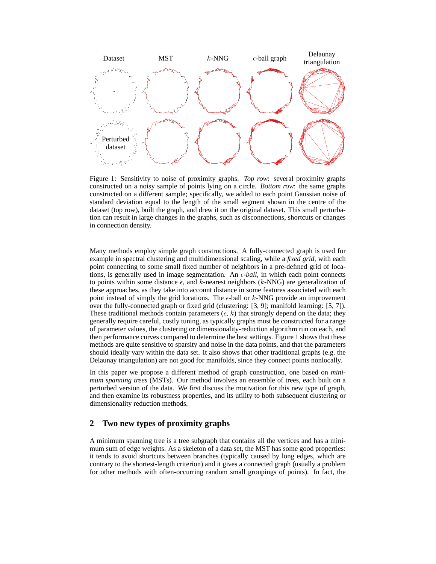

Figure 1: Sensitivity to noise of proximity graphs. *Top row*: several proximity graphs constructed on a noisy sample of points lying on a circle. *Bottom row*: the same graphs constructed on a different sample; specifically, we added to each point Gaussian noise of standard deviation equal to the length of the small segment shown in the centre of the dataset (top row), built the graph, and drew it on the original dataset. This small perturbation can result in large changes in the graphs, such as disconnections, shortcuts or changes in connection density.

Many methods employ simple graph constructions. A fully-connected graph is used for example in spectral clustering and multidimensional scaling, while a *fixed grid*, with each point connecting to some small fixed number of neighbors in a pre-defined grid of locations, is generally used in image segmentation. An  $\epsilon$ -ball, in which each point connects to points within some distance  $\epsilon$ , and k-nearest neighbors (k-NNG) are generalization of these approaches, as they take into account distance in some features associated with each point instead of simply the grid locations. The  $\epsilon$ -ball or  $k$ -NNG provide an improvement over the fully-connected graph or fixed grid (clustering: [3, 9]; manifold learning: [5, 7]). These traditional methods contain parameters ( $\epsilon$ , k) that strongly depend on the data; they generally require careful, costly tuning, as typically graphs must be constructed for a range of parameter values, the clustering or dimensionality-reduction algorithm run on each, and then performance curves compared to determine the best settings. Figure 1 shows that these methods are quite sensitive to sparsity and noise in the data points, and that the parameters should ideally vary within the data set. It also shows that other traditional graphs (e.g. the Delaunay triangulation) are not good for manifolds, since they connect points nonlocally.

In this paper we propose a different method of graph construction, one based on *minimum spanning trees* (MSTs). Our method involves an ensemble of trees, each built on a perturbed version of the data. We first discuss the motivation for this new type of graph, and then examine its robustness properties, and its utility to both subsequent clustering or dimensionality reduction methods.

# **2 Two new types of proximity graphs**

A minimum spanning tree is a tree subgraph that contains all the vertices and has a minimum sum of edge weights. As a skeleton of a data set, the MST has some good properties: it tends to avoid shortcuts between branches (typically caused by long edges, which are contrary to the shortest-length criterion) and it gives a connected graph (usually a problem for other methods with often-occurring random small groupings of points). In fact, the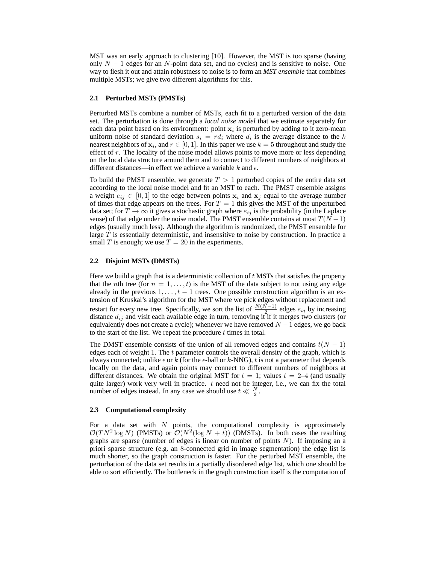MST was an early approach to clustering [10]. However, the MST is too sparse (having only  $N - 1$  edges for an N-point data set, and no cycles) and is sensitive to noise. One way to flesh it out and attain robustness to noise is to form an *MST ensemble* that combines multiple MSTs; we give two different algorithms for this.

### **2.1 Perturbed MSTs (PMSTs)**

Perturbed MSTs combine a number of MSTs, each fit to a perturbed version of the data set. The perturbation is done through a *local noise model* that we estimate separately for each data point based on its environment: point  $x_i$  is perturbed by adding to it zero-mean uniform noise of standard deviation  $s_i = rd_i$  where  $d_i$  is the average distance to the k nearest neighbors of  $\mathbf{x}_i$ , and  $r \in [0,1]$ . In this paper we use  $k = 5$  throughout and study the effect of  $r$ . The locality of the noise model allows points to move more or less depending on the local data structure around them and to connect to different numbers of neighbors at different distances—in effect we achieve a variable k and  $\epsilon$ .

To build the PMST ensemble, we generate  $T > 1$  perturbed copies of the entire data set according to the local noise model and fit an MST to each. The PMST ensemble assigns a weight  $e_{ij} \in [0,1]$  to the edge between points  $x_i$  and  $x_j$  equal to the average number of times that edge appears on the trees. For  $T = 1$  this gives the MST of the unperturbed data set; for  $T \to \infty$  it gives a stochastic graph where  $e_{ij}$  is the probability (in the Laplace sense) of that edge under the noise model. The PMST ensemble contains at most  $T(N-1)$ edges (usually much less). Although the algorithm is randomized, the PMST ensemble for large T is essentially deterministic, and insensitive to noise by construction. In practice a small T is enough; we use  $T = 20$  in the experiments.

#### **2.2 Disjoint MSTs (DMSTs)**

Here we build a graph that is a deterministic collection of  $t$  MSTs that satisfies the property that the *n*th tree (for  $n = 1, \ldots, t$ ) is the MST of the data subject to not using any edge already in the previous  $1, \ldots, t-1$  trees. One possible construction algorithm is an extension of Kruskal's algorithm for the MST where we pick edges without replacement and restart for every new tree. Specifically, we sort the list of  $\frac{N(N-1)}{2}$  edges  $e_{ij}$  by increasing distance  $d_{ij}$  and visit each available edge in turn, removing it if it merges two clusters (or equivalently does not create a cycle); whenever we have removed  $N - 1$  edges, we go back to the start of the list. We repeat the procedure  $t$  times in total.

The DMST ensemble consists of the union of all removed edges and contains  $t(N - 1)$ edges each of weight 1. The t parameter controls the overall density of the graph, which is always connected; unlike  $\epsilon$  or k (for the  $\epsilon$ -ball or k-NNG), t is not a parameter that depends locally on the data, and again points may connect to different numbers of neighbors at different distances. We obtain the original MST for  $t = 1$ ; values  $t = 2-4$  (and usually quite larger) work very well in practice.  $t$  need not be integer, i.e., we can fix the total number of edges instead. In any case we should use  $t \ll \frac{N}{2}$ .

#### **2.3 Computational complexity**

For a data set with  $N$  points, the computational complexity is approximately  $\mathcal{O}(TN^2 \log N)$  (PMSTs) or  $\mathcal{O}(N^2(\log N + t))$  (DMSTs). In both cases the resulting graphs are sparse (number of edges is linear on number of points  $N$ ). If imposing an a priori sparse structure (e.g. an 8-connected grid in image segmentation) the edge list is much shorter, so the graph construction is faster. For the perturbed MST ensemble, the perturbation of the data set results in a partially disordered edge list, which one should be able to sort efficiently. The bottleneck in the graph construction itself is the computation of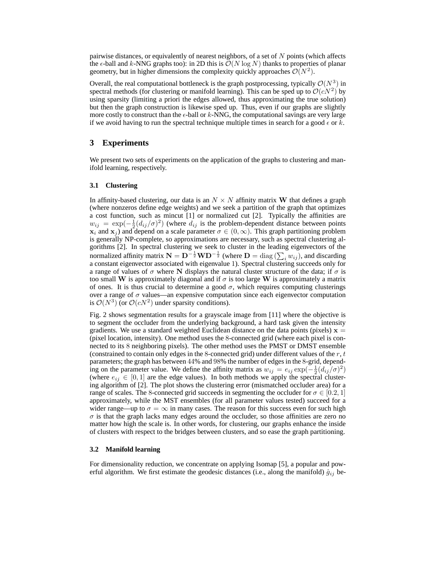pairwise distances, or equivalently of nearest neighbors, of a set of  $N$  points (which affects the  $\epsilon$ -ball and k-NNG graphs too): in 2D this is  $\mathcal{O}(N \log N)$  thanks to properties of planar geometry, but in higher dimensions the complexity quickly approaches  $\mathcal{O}(N^2)$ .

Overall, the real computational bottleneck is the graph postprocessing, typically  $\mathcal{O}(N^3)$  in spectral methods (for clustering or manifold learning). This can be sped up to  $\mathcal{O}(cN^2)$  by using sparsity (limiting a priori the edges allowed, thus approximating the true solution) but then the graph construction is likewise sped up. Thus, even if our graphs are slightly more costly to construct than the  $\epsilon$ -ball or k-NNG, the computational savings are very large if we avoid having to run the spectral technique multiple times in search for a good  $\epsilon$  or k.

## **3 Experiments**

We present two sets of experiments on the application of the graphs to clustering and manifold learning, respectively.

#### **3.1 Clustering**

In affinity-based clustering, our data is an  $N \times N$  affinity matrix W that defines a graph (where nonzeros define edge weights) and we seek a partition of the graph that optimizes a cost function, such as mincut [1] or normalized cut [2]. Typically the affinities are  $w_{ij} = \exp(-\frac{1}{2}(d_{ij}/\sigma)^2)$  (where  $d_{ij}$  is the problem-dependent distance between points  $x_i$  and  $x_j$ ) and depend on a scale parameter  $\sigma \in (0,\infty)$ . This graph partitioning problem is generally NP-complete, so approximations are necessary, such as spectral clustering algorithms [2]. In spectral clustering we seek to cluster in the leading eigenvectors of the normalized affinity matrix  $N = D^{-\frac{1}{2}}WD^{-\frac{1}{2}}$  (where  $D = \text{diag}(\sum_i w_{ij})$ ), and discarding a constant eigenvector associated with eigenvalue 1). Spectral clustering succeeds only for a range of values of  $\sigma$  where N displays the natural cluster structure of the data; if  $\sigma$  is too small W is approximately diagonal and if  $\sigma$  is too large W is approximately a matrix of ones. It is thus crucial to determine a good  $\sigma$ , which requires computing clusterings over a range of  $\sigma$  values—an expensive computation since each eigenvector computation is  $\mathcal{O}(N^3)$  (or  $\mathcal{O}(cN^2)$  under sparsity conditions).

Fig. 2 shows segmentation results for a grayscale image from [11] where the objective is to segment the occluder from the underlying background, a hard task given the intensity gradients. We use a standard weighted Euclidean distance on the data points (pixels)  $x =$ (pixel location, intensity). One method uses the 8-connected grid (where each pixel is connected to its 8 neighboring pixels). The other method uses the PMST or DMST ensemble (constrained to contain only edges in the 8-connected grid) under different values of the  $r$ ,  $t$ parameters; the graph has between 44% and 98% the number of edges in the 8-grid, depending on the parameter value. We define the affinity matrix as  $w_{ij} = e_{ij} \exp(-\frac{1}{2}(d_{ij}/\sigma)^2)$ (where  $e_{ij} \in [0, 1]$  are the edge values). In both methods we apply the spectral clustering algorithm of [2]. The plot shows the clustering error (mismatched occluder area) for a range of scales. The 8-connected grid succeeds in segmenting the occluder for  $\sigma \in [0.2, 1]$ approximately, while the MST ensembles (for all parameter values tested) succeed for a wider range—up to  $\sigma = \infty$  in many cases. The reason for this success even for such high  $\sigma$  is that the graph lacks many edges around the occluder, so those affinities are zero no matter how high the scale is. In other words, for clustering, our graphs enhance the inside of clusters with respect to the bridges between clusters, and so ease the graph partitioning.

#### **3.2 Manifold learning**

For dimensionality reduction, we concentrate on applying Isomap [5], a popular and powerful algorithm. We first estimate the geodesic distances (i.e., along the manifold)  $\hat{g}_{ij}$  be-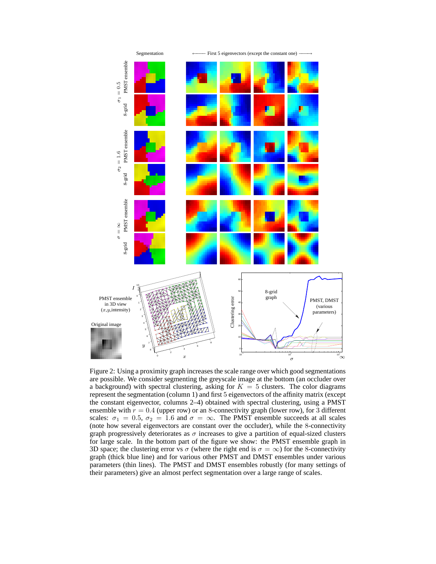

Figure 2: Using a proximity graph increases the scale range over which good segmentations are possible. We consider segmenting the greyscale image at the bottom (an occluder over a background) with spectral clustering, asking for  $K = 5$  clusters. The color diagrams represent the segmentation (column 1) and first 5 eigenvectors of the affinity matrix (except the constant eigenvector, columns 2–4) obtained with spectral clustering, using a PMST ensemble with  $r = 0.4$  (upper row) or an 8-connectivity graph (lower row), for 3 different scales:  $\sigma_1 = 0.5$ ,  $\sigma_2 = 1.6$  and  $\sigma = \infty$ . The PMST ensemble succeeds at all scales (note how several eigenvectors are constant over the occluder), while the 8-connectivity graph progressively deteriorates as  $\sigma$  increases to give a partition of equal-sized clusters for large scale. In the bottom part of the figure we show: the PMST ensemble graph in 3D space; the clustering error vs  $\sigma$  (where the right end is  $\sigma = \infty$ ) for the 8-connectivity graph (thick blue line) and for various other PMST and DMST ensembles under various parameters (thin lines). The PMST and DMST ensembles robustly (for many settings of their parameters) give an almost perfect segmentation over a large range of scales.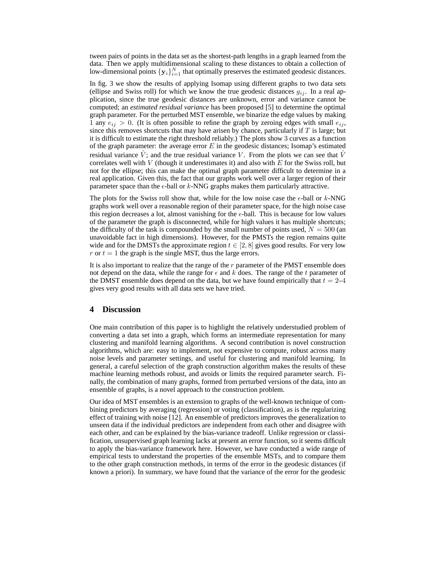tween pairs of points in the data set as the shortest-path lengths in a graph learned from the data. Then we apply multidimensional scaling to these distances to obtain a collection of low-dimensional points  $\{y_i\}_{i=1}^N$  that optimally preserves the estimated geodesic distances.

In fig. 3 we show the results of applying Isomap using different graphs to two data sets (ellipse and Swiss roll) for which we know the true geodesic distances  $g_{ij}$ . In a real application, since the true geodesic distances are unknown, error and variance cannot be computed; an *estimated residual variance* has been proposed [5] to determine the optimal graph parameter. For the perturbed MST ensemble, we binarize the edge values by making 1 any  $e_{ij} > 0$ . (It is often possible to refine the graph by zeroing edges with small  $e_{ij}$ , since this removes shortcuts that may have arisen by chance, particularly if  $T$  is large; but it is difficult to estimate the right threshold reliably.) The plots show 3 curves as a function of the graph parameter: the average error  $E$  in the geodesic distances; Isomap's estimated residual variance  $\dot{V}$ ; and the true residual variance V. From the plots we can see that  $\dot{V}$ correlates well with  $V$  (though it underestimates it) and also with  $E$  for the Swiss roll, but not for the ellipse; this can make the optimal graph parameter difficult to determine in a real application. Given this, the fact that our graphs work well over a larger region of their parameter space than the  $\epsilon$ -ball or k-NNG graphs makes them particularly attractive.

The plots for the Swiss roll show that, while for the low noise case the  $\epsilon$ -ball or k-NNG graphs work well over a reasonable region of their parameter space, for the high noise case this region decreases a lot, almost vanishing for the  $\epsilon$ -ball. This is because for low values of the parameter the graph is disconnected, while for high values it has multiple shortcuts; the difficulty of the task is compounded by the small number of points used,  $N = 500$  (an unavoidable fact in high dimensions). However, for the PMSTs the region remains quite wide and for the DMSTs the approximate region  $t \in [2, 8]$  gives good results. For very low r or  $t = 1$  the graph is the single MST, thus the large errors.

It is also important to realize that the range of the  $r$  parameter of the PMST ensemble does not depend on the data, while the range for  $\epsilon$  and k does. The range of the t parameter of the DMST ensemble does depend on the data, but we have found empirically that  $t = 2-4$ gives very good results with all data sets we have tried.

## **4 Discussion**

One main contribution of this paper is to highlight the relatively understudied problem of converting a data set into a graph, which forms an intermediate representation for many clustering and manifold learning algorithms. A second contribution is novel construction algorithms, which are: easy to implement, not expensive to compute, robust across many noise levels and parameter settings, and useful for clustering and manifold learning. In general, a careful selection of the graph construction algorithm makes the results of these machine learning methods robust, and avoids or limits the required parameter search. Finally, the combination of many graphs, formed from perturbed versions of the data, into an ensemble of graphs, is a novel approach to the construction problem.

Our idea of MST ensembles is an extension to graphs of the well-known technique of combining predictors by averaging (regression) or voting (classification), as is the regularizing effect of training with noise [12]. An ensemble of predictors improves the generalization to unseen data if the individual predictors are independent from each other and disagree with each other, and can be explained by the bias-variance tradeoff. Unlike regression or classification, unsupervised graph learning lacks at present an error function, so it seems difficult to apply the bias-variance framework here. However, we have conducted a wide range of empirical tests to understand the properties of the ensemble MSTs, and to compare them to the other graph construction methods, in terms of the error in the geodesic distances (if known a priori). In summary, we have found that the variance of the error for the geodesic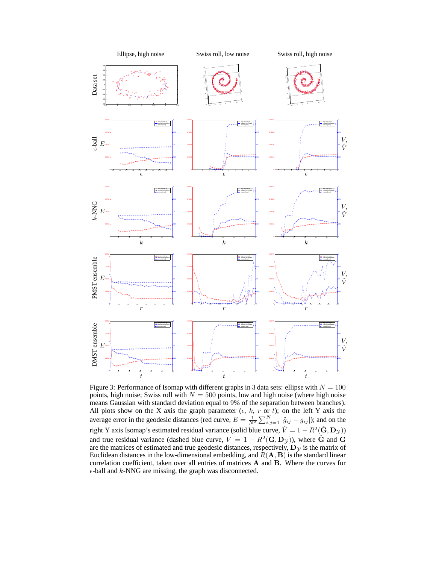

Figure 3: Performance of Isomap with different graphs in 3 data sets: ellipse with  $N = 100$ points, high noise; Swiss roll with  $N = 500$  points, low and high noise (where high noise means Gaussian with standard deviation equal to 9% of the separation between branches). All plots show on the X axis the graph parameter ( $\epsilon$ ,  $k$ ,  $r$  or  $t$ ); on the left Y axis the average error in the geodesic distances (red curve,  $E = \frac{1}{N^2} \sum_{i,j=1}^{N} |\tilde{g}_{ij} - g_{ij}|$ ); and on the right Y axis Isomap's estimated residual variance (solid blue curve,  $\hat{V} = 1 - R^2(\hat{\mathbf{G}}, \mathbf{D}_{\mathcal{Y}})$ ) and true residual variance (dashed blue curve,  $V = 1 - R^2(\mathbf{G}, \mathbf{D}_y)$ ), where  $\hat{\mathbf{G}}$  and  $\mathbf{G}$ are the matrices of estimated and true geodesic distances, respectively,  $\mathbf{D}_{y}$  is the matrix of Euclidean distances in the low-dimensional embedding, and  $R(\mathbf{A}, \mathbf{B})$  is the standard linear correlation coefficient, taken over all entries of matrices A and B. Where the curves for  $\epsilon$ -ball and k-NNG are missing, the graph was disconnected.